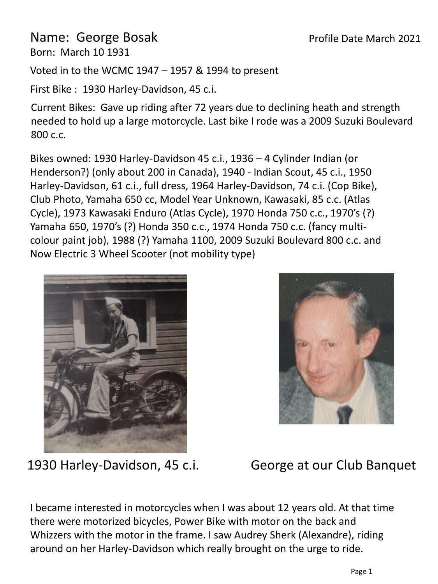## Name: George Bosak

Born: March 10 1931

Voted in to the WCMC 1947 – 1957 & 1994 to present

First Bike : 1930 Harley-Davidson, 45 c.i.

Current Bikes: Gave up riding after 72 years due to declining heath and strength needed to hold up a large motorcycle. Last bike I rode was a 2009 Suzuki Boulevard 800 c.c.

Bikes owned: 1930 Harley-Davidson 45 c.i., 1936 – 4 Cylinder Indian (or Henderson?) (only about 200 in Canada), 1940 - Indian Scout, 45 c.i., 1950 Harley-Davidson, 61 c.i., full dress, 1964 Harley-Davidson, 74 c.i. (Cop Bike), Club Photo, Yamaha 650 cc, Model Year Unknown, Kawasaki, 85 c.c. (Atlas Cycle), 1973 Kawasaki Enduro (Atlas Cycle), 1970 Honda 750 c.c., 1970's (?) Yamaha 650, 1970's (?) Honda 350 c.c., 1974 Honda 750 c.c. (fancy multicolour paint job), 1988 (?) Yamaha 1100, 2009 Suzuki Boulevard 800 c.c. and Now Electric 3 Wheel Scooter (not mobility type)





1930 Harley-Davidson, 45 c.i.

George at our Club Banquet

I became interested in motorcycles when I was about 12 years old. At that time there were motorized bicycles, Power Bike with motor on the back and Whizzers with the motor in the frame. I saw Audrey Sherk (Alexandre), riding around on her Harley-Davidson which really brought on the urge to ride.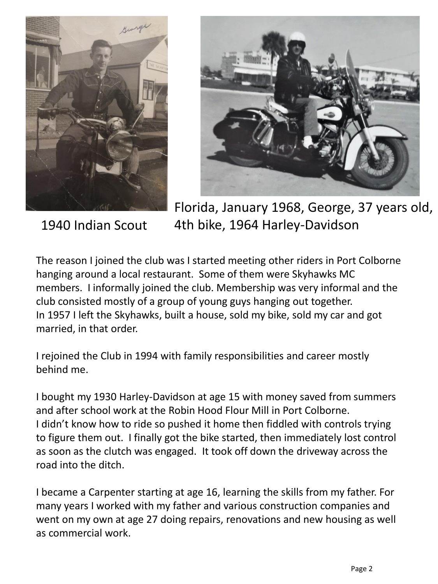



1940 Indian Scout

Florida, January 1968, George, 37 years old, 4th bike, 1964 Harley-Davidson

The reason I joined the club was I started meeting other riders in Port Colborne hanging around a local restaurant. Some of them were Skyhawks MC members. I informally joined the club. Membership was very informal and the club consisted mostly of a group of young guys hanging out together. In 1957 I left the Skyhawks, built a house, sold my bike, sold my car and got married, in that order.

I rejoined the Club in 1994 with family responsibilities and career mostly behind me.

I bought my 1930 Harley-Davidson at age 15 with money saved from summers and after school work at the Robin Hood Flour Mill in Port Colborne. I didn't know how to ride so pushed it home then fiddled with controls trying to figure them out. I finally got the bike started, then immediately lost control as soon as the clutch was engaged. It took off down the driveway across the road into the ditch.

I became a Carpenter starting at age 16, learning the skills from my father. For many years I worked with my father and various construction companies and went on my own at age 27 doing repairs, renovations and new housing as well as commercial work.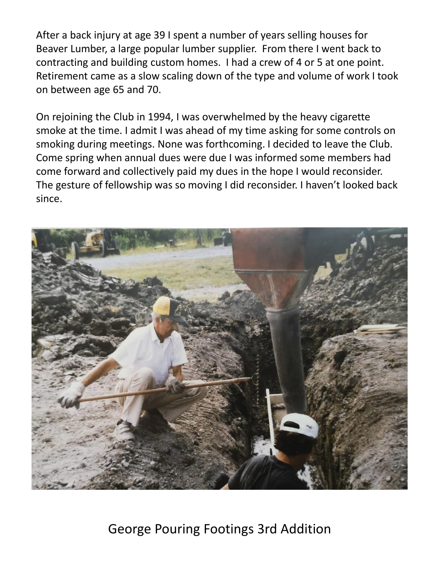After a back injury at age 39 I spent a number of years selling houses for Beaver Lumber, a large popular lumber supplier. From there I went back to contracting and building custom homes. I had a crew of 4 or 5 at one point. Retirement came as a slow scaling down of the type and volume of work I took on between age 65 and 70.

On rejoining the Club in 1994, I was overwhelmed by the heavy cigarette smoke at the time. I admit I was ahead of my time asking for some controls on smoking during meetings. None was forthcoming. I decided to leave the Club. Come spring when annual dues were due I was informed some members had come forward and collectively paid my dues in the hope I would reconsider. The gesture of fellowship was so moving I did reconsider. I haven't looked back since.



George Pouring Footings 3rd Addition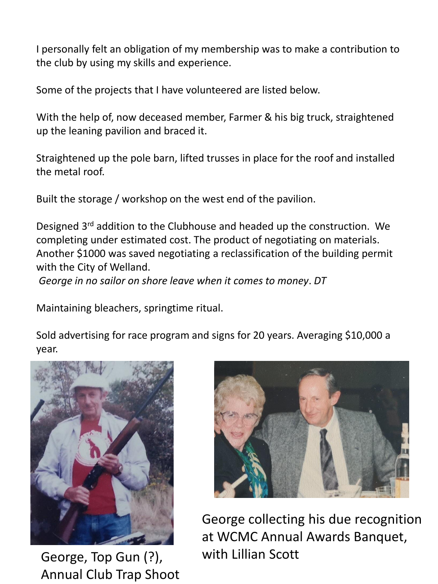I personally felt an obligation of my membership was to make a contribution to the club by using my skills and experience.

Some of the projects that I have volunteered are listed below.

With the help of, now deceased member, Farmer & his big truck, straightened up the leaning pavilion and braced it.

Straightened up the pole barn, lifted trusses in place for the roof and installed the metal roof.

Built the storage / workshop on the west end of the pavilion.

Designed 3<sup>rd</sup> addition to the Clubhouse and headed up the construction. We completing under estimated cost. The product of negotiating on materials. Another \$1000 was saved negotiating a reclassification of the building permit with the City of Welland.

*George in no sailor on shore leave when it comes to money*. *DT*

Maintaining bleachers, springtime ritual.

Sold advertising for race program and signs for 20 years. Averaging \$10,000 a year.



George, Top Gun (?), Annual Club Trap Shoot



George collecting his due recognition at WCMC Annual Awards Banquet, with Lillian Scott